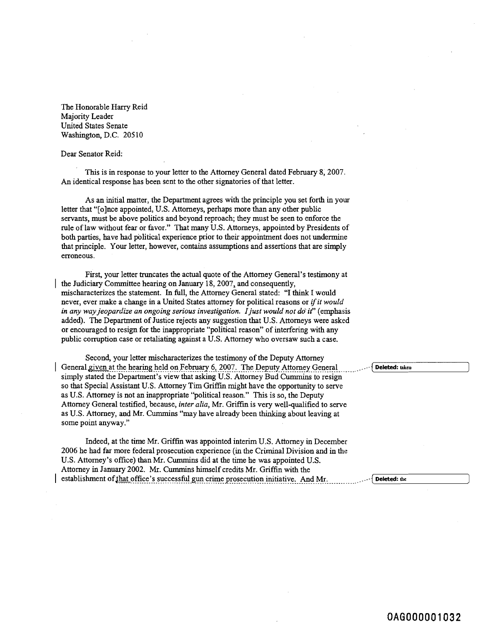The Honorable Harry Reid Majority Leader United States Senate Washington, D.C. 205 10

Dear Senator Reid:

This is in response to your letter to the Attorney General dated February 8, 2007. An identical response has been sent to the other signatories of that letter.

As an initial matter, the Department agrees with the principle you set forth in your letter that "[olnce appointed, U.S. Attorneys, perhaps more than any other public servants, must be above politics and beyond reproach; they must be seen to enforce the rule of law without fear or favor." That many U.S. Attorneys, appointed by Presidents of both parties, have had political experience prior to their appointment does not undermine that principle. Your letter, however, contains assumptions and assertions that are simply erroneous.

First, your letter truncates the actual quote of the Attorney General's testimony at the Judiciary Committee hearing on January 18, 2007, and consequently, mischaracterizes the statement. In full, the Attorney General stated: "I think I would never, ever make a change in a United States attorney for political reasons or *ifit would*  in any way jeopardize an ongoing serious investigation. I just would not do it" (emphasis added). The Department of Justice rejects any suggestion that U.S. Attorneys were asked or encouraged to resign for the inappropriate "political reason" of interfering with any public corruption case or retaliating against a U.S. Attorney who oversaw such a case.

Second, your letter mischaracterizes the testimony of the Deputy Attorney General given at the hearing held on February 6, 2007. The Deputy Attorney General Contract Deleted: uken simply stated the Department's view that asking U.S. Attorney Bud Cummins to resign so that Special Assistant U.S. Attorney Tim Griffin might have the opportunity to serve as U.S. Attorney is not an inappropriate "political reason." This is so, the Deputy Attorney General testified, because, *inter alia,* Mr. Griffin is very well-qualified to serve as U.S. Attorney, and Mr. Curnmins "may have already been thinking about leaving at some point anyway."

Indeed, at the time Mr. Griffin was appointed interim U.S. Attorney in December 2006 he had far more federal prosecution experience (in the Criminal Division and in the U.S. Attorney's office) than Mr. Cummins did at the time he was appointed U.S. Attorney in January 2002. Mr. Cummins himself credits Mr. Griffin with the establishment of that office's successful gun crime prosecution initiative. And Mr.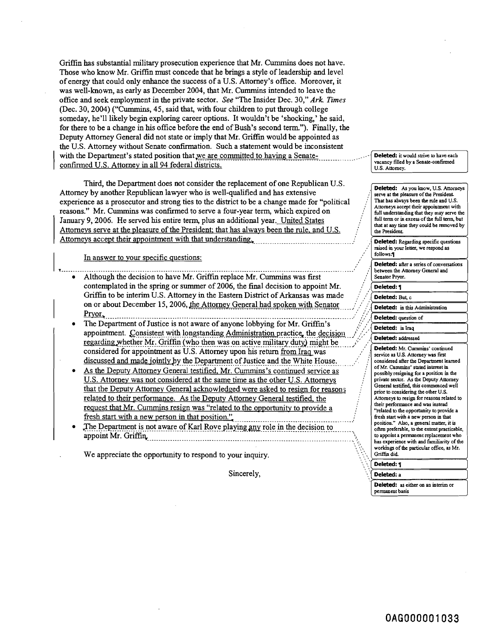Griffin has substantial military prosecution experience that Mr. Cummins does not have. Those who know Mr. Griffin must concede that he brings a style of leadership and level of energy that could only enhance the success of a U.S. Attorney's office. Moreover, it was well-known, as early as December 2004, that Mr. Cummins intended to leave the office and seek employment in the private sector. *See* "The Insider Dec. 30," *Ark* **Times**  (Dec. 30,2004) **("Cummins,** 45, said that, with four children to put through college someday, he'll likely begin exploring career options. It wouldn't be 'shocking,' he said, for there to be a change in his oftice before the end of Bush's second term."). Finally, the Deputy Attorney General did not state or imply that Mr. Griffin would be appointed as the U.S. Attorney without Senate confirmation. Such a statement would be inconsistent with the Department's stated position that we are committed to having a Senateconfirmed U.S. Attorney in all 94 federal districts.

Third, the Department does not consider the replacement of one Republican U.S.<br>Attorney by another Republican lawyer who is well-qualified and has extensive<br>experience as a prosecutor and strong ties to the district to be January 9,2006. He served his entire term, plus an additional year. United States : Attorneys serve at the pleasure of the President; that has always been the rule, and U.S. Transons." Mr. Cummins was confirmed to serve a four-year term, which expired on<br>
January 9, 2006. He served his entire term, plus an additional year. United States<br>
Attorneys serve at the pleasure of the President; that h ' In answer to vour specific questions: : , **v** ........................................................................................................................ '

- Although the decision to have Mr. Griffin replace Mr. Cummins was first contemplated in the spring or summer of 2006, the final decision to appoint Mi. Griffin to be interim U.S. Attorney in the Eastern District of Arkansas was made on or about December 15, 2006, the Attorney General had spoken with Senator .................................. Pwor, ..........................................................................................................
- The Department of Justice is not aware of anyone lobbying for Mr. Griffin's appointment. Consistent with longstanding Administration practice, the decision regarding whether Mr. Griffin (who then was on active military duty) might be considered for appointment as U.S. Attorney upon his return from Iraq was discussed and made jointly by the Department of Justice and the White House.
- As the Deputy Attorney General testified, Mr. Cummins's continued service as U.S. Attorney was not considered at the same time as the other U.S. Attorneys that the Deputy Attorney General acknowledged were asked to resign for reasons related to their performance. As the Deputy Attorney General testified, the request that Mr. Cummins resign was "related to the opportunity to provide a
- fresh start with a new person in that position."<br>The Department is not aware of Karl Rove playing any role in the decision to appoint Mr. Griffin,

We appreciate the opportunity to respond to your inquiry.

Sincerely,

Deleted: it would strive to have each

**Deleted: As you know,** U.S. **Amrncys**  serve at the pleasure of the President. Attomeys accept their appointment with full understanding that they may serve the full term or in excess of the full term, but **that at any timc they could be moved by**  that at any the Presiden<br>
the Presiden<br> **Deleted:**<br>
raised in yo<br>
follows: **the Resident Deleted: Regatding specific questions raised in your Iefter, we respond as Deleted: after a series of conversations** hetween the Attorney General and **Senabr Pryor.**  Deleted: 1 Deleted: But. c Deleted: in this Administration Deleted: question of Deleted: in Iraq Deleted: addressed Deleted: Mr. Cummins' continued service as U.S. Attorney was first considered after the Department learned of Mr. Cummins' stated interest in possibly resigning for a position in the private sector. As the Deputy Attorney General testified, this commenced well prior to considering the other U.S. Attorneys to resign for reasons related to their performance and was instead "related to the opportunity to provide a fresh start with a new person in that position." Also, a general matter, it is often preferable, to the extent practicable,

to appoint a permanent replacement who has experience with and familiarity of the workings of the particular office, as Mr. Griffin did.

Deleted: 1

Deleted: a

Deleted: as either on an interim or **permanent basis**